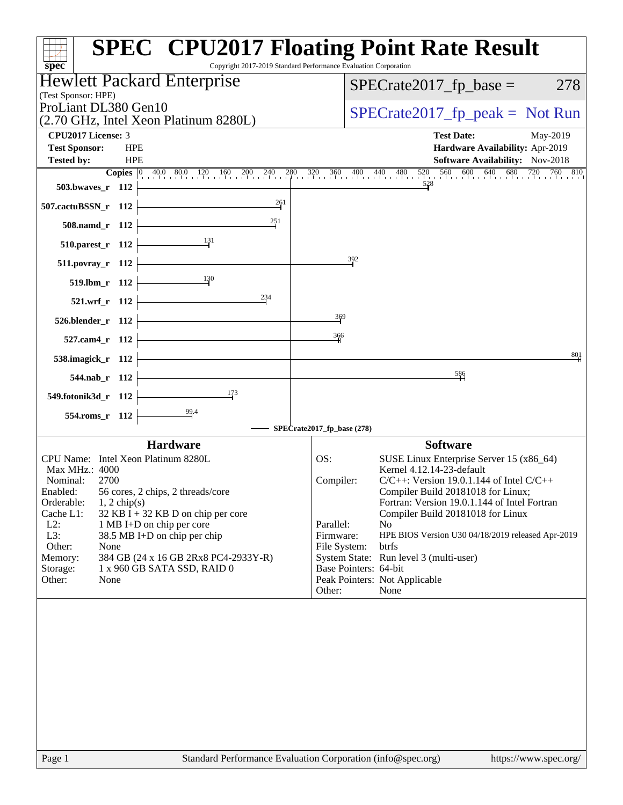| spec <sup>®</sup>                                                                                                                             | <b>SPEC<sup>®</sup> CPU2017 Floating Point Rate Result</b><br>Copyright 2017-2019 Standard Performance Evaluation Corporation |
|-----------------------------------------------------------------------------------------------------------------------------------------------|-------------------------------------------------------------------------------------------------------------------------------|
| Hewlett Packard Enterprise<br>(Test Sponsor: HPE)                                                                                             | $SPECrate2017_fp\_base =$<br>278                                                                                              |
| ProLiant DL380 Gen10<br>(2.70 GHz, Intel Xeon Platinum 8280L)                                                                                 | $SPECrate2017_fp\_peak = Not Run$                                                                                             |
| <b>CPU2017 License: 3</b>                                                                                                                     | <b>Test Date:</b><br>May-2019                                                                                                 |
| <b>Test Sponsor:</b><br><b>HPE</b>                                                                                                            | Hardware Availability: Apr-2019                                                                                               |
| <b>HPE</b><br><b>Tested by:</b>                                                                                                               | <b>Software Availability:</b> Nov-2018                                                                                        |
| <b>Copies</b> $\begin{bmatrix} 0 & 40.0 & 80.0 & 120 & 160 & 200 & 240 & 280 & 320 & 360 & 400 & 440 & 480 \end{bmatrix}$<br>503.bwaves_r 112 | $560$ 600 640 680 720 760 810<br>520<br>528                                                                                   |
| 261                                                                                                                                           |                                                                                                                               |
| 507.cactuBSSN_r 112                                                                                                                           |                                                                                                                               |
| 251<br>508.namd_r 112                                                                                                                         |                                                                                                                               |
| $\frac{131}{2}$<br>510.parest_r 112                                                                                                           |                                                                                                                               |
| 511.povray_r 112                                                                                                                              | 392                                                                                                                           |
| 130<br>519.lbm_r 112                                                                                                                          |                                                                                                                               |
| 234<br>521.wrf_r 112                                                                                                                          |                                                                                                                               |
| 526.blender_r 112                                                                                                                             | 369                                                                                                                           |
| 527.cam4_r 112                                                                                                                                | 366                                                                                                                           |
| 538.imagick_r 112                                                                                                                             | 801                                                                                                                           |
| 544.nab r 112                                                                                                                                 | $\frac{586}{1}$                                                                                                               |
| $\frac{173}{2}$<br>549.fotonik3d_r 112                                                                                                        |                                                                                                                               |
| $\frac{99.4}{9}$<br>554.roms_r 112                                                                                                            |                                                                                                                               |
|                                                                                                                                               | SPECrate2017_fp_base (278)                                                                                                    |
| <b>Hardware</b>                                                                                                                               | <b>Software</b>                                                                                                               |
| CPU Name: Intel Xeon Platinum 8280L                                                                                                           | OS:<br>SUSE Linux Enterprise Server 15 (x86_64)                                                                               |
| Max MHz.: 4000                                                                                                                                | Kernel 4.12.14-23-default                                                                                                     |
| Nominal:<br>2700<br>56 cores, 2 chips, 2 threads/core<br>Enabled:                                                                             | $C/C++$ : Version 19.0.1.144 of Intel $C/C++$<br>Compiler:<br>Compiler Build 20181018 for Linux;                              |
| Orderable:<br>$1, 2$ chip(s)                                                                                                                  | Fortran: Version 19.0.1.144 of Intel Fortran                                                                                  |
| $32$ KB I + 32 KB D on chip per core<br>Cache L1:                                                                                             | Compiler Build 20181018 for Linux                                                                                             |
| $L2$ :<br>1 MB I+D on chip per core<br>L3:<br>38.5 MB I+D on chip per chip                                                                    | Parallel:<br>N <sub>o</sub><br>Firmware:<br>HPE BIOS Version U30 04/18/2019 released Apr-2019                                 |
| Other:<br>None                                                                                                                                | File System:<br>btrfs                                                                                                         |
| 384 GB (24 x 16 GB 2Rx8 PC4-2933Y-R)<br>Memory:                                                                                               | System State: Run level 3 (multi-user)                                                                                        |
| Storage:<br>1 x 960 GB SATA SSD, RAID 0                                                                                                       | Base Pointers: 64-bit                                                                                                         |
| Other:<br>None                                                                                                                                | Peak Pointers: Not Applicable<br>Other:<br>None                                                                               |
|                                                                                                                                               |                                                                                                                               |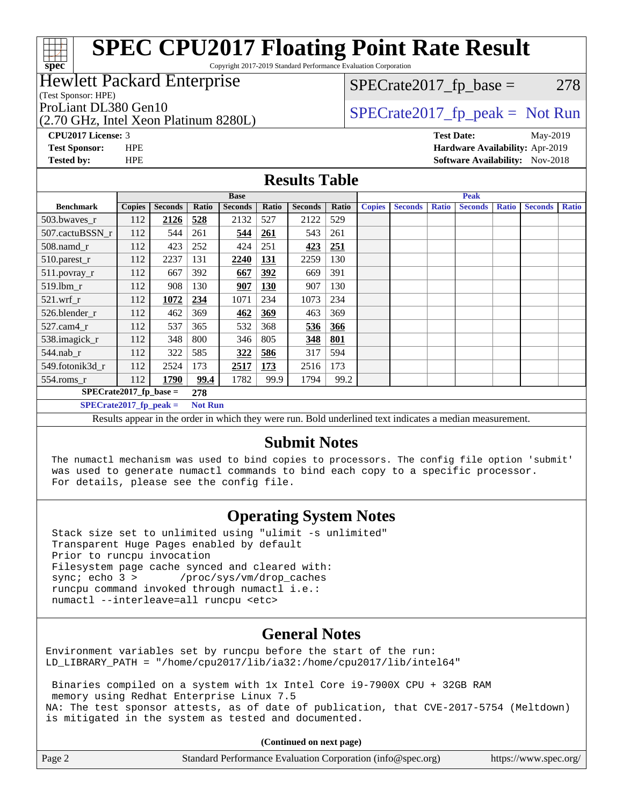# **[SPEC CPU2017 Floating Point Rate Result](http://www.spec.org/auto/cpu2017/Docs/result-fields.html#SPECCPU2017FloatingPointRateResult)**

Copyright 2017-2019 Standard Performance Evaluation Corporation

## Hewlett Packard Enterprise

(Test Sponsor: HPE)

**[spec](http://www.spec.org/)**

(2.70 GHz, Intel Xeon Platinum 8280L)

 $SPECTate2017<sub>fr</sub> base = 278$ 

## ProLiant DL380 Gen10  $SPECTA = 2017$  SPECrate 2017\_fp\_peak = Not Run

**[CPU2017 License:](http://www.spec.org/auto/cpu2017/Docs/result-fields.html#CPU2017License)** 3 **[Test Date:](http://www.spec.org/auto/cpu2017/Docs/result-fields.html#TestDate)** May-2019 **[Test Sponsor:](http://www.spec.org/auto/cpu2017/Docs/result-fields.html#TestSponsor)** HPE **[Hardware Availability:](http://www.spec.org/auto/cpu2017/Docs/result-fields.html#HardwareAvailability)** Apr-2019 **[Tested by:](http://www.spec.org/auto/cpu2017/Docs/result-fields.html#Testedby)** HPE **HPE [Software Availability:](http://www.spec.org/auto/cpu2017/Docs/result-fields.html#SoftwareAvailability)** Nov-2018

### **[Results Table](http://www.spec.org/auto/cpu2017/Docs/result-fields.html#ResultsTable)**

|                           |               |                |       | <b>Base</b>    |            |                | <b>Peak</b> |               |                |              |                |              |                |              |
|---------------------------|---------------|----------------|-------|----------------|------------|----------------|-------------|---------------|----------------|--------------|----------------|--------------|----------------|--------------|
| <b>Benchmark</b>          | <b>Copies</b> | <b>Seconds</b> | Ratio | <b>Seconds</b> | Ratio      | <b>Seconds</b> | Ratio       | <b>Copies</b> | <b>Seconds</b> | <b>Ratio</b> | <b>Seconds</b> | <b>Ratio</b> | <b>Seconds</b> | <b>Ratio</b> |
| 503.bwaves_r              | 112           | 2126           | 528   | 2132           | 527        | 2122           | 529         |               |                |              |                |              |                |              |
| 507.cactuBSSN r           | 112           | 544            | 261   | 544            | 261        | 543            | 261         |               |                |              |                |              |                |              |
| 508.namd_r                | 112           | 423            | 252   | 424            | 251        | 423            | 251         |               |                |              |                |              |                |              |
| 510.parest_r              | 112           | 2237           | 131   | 2240           | 131        | 2259           | 130         |               |                |              |                |              |                |              |
| 511.povray_r              | 112           | 667            | 392   | 667            | 392        | 669            | 391         |               |                |              |                |              |                |              |
| $519$ .lbm $r$            | 112           | 908            | 130   | 907            | <b>130</b> | 907            | 130         |               |                |              |                |              |                |              |
| $521$ .wrf r              | 112           | 1072           | 234   | 1071           | 234        | 1073           | 234         |               |                |              |                |              |                |              |
| 526.blender r             | 112           | 462            | 369   | 462            | 369        | 463            | 369         |               |                |              |                |              |                |              |
| $527$ .cam $4r$           | 112           | 537            | 365   | 532            | 368        | 536            | 366         |               |                |              |                |              |                |              |
| 538.imagick_r             | 112           | 348            | 800   | 346            | 805        | 348            | 801         |               |                |              |                |              |                |              |
| 544.nab r                 | 112           | 322            | 585   | 322            | 586        | 317            | 594         |               |                |              |                |              |                |              |
| 549.fotonik3d r           | 112           | 2524           | 173   | 2517           | 173        | 2516           | 173         |               |                |              |                |              |                |              |
| $554$ .roms_r             | 112           | 1790           | 99.4  | 1782           | 99.9       | 1794           | 99.2        |               |                |              |                |              |                |              |
| $SPECrate2017$ fp base =  | 278           |                |       |                |            |                |             |               |                |              |                |              |                |              |
| $SPECrate2017_fp\_peak =$ |               |                |       | <b>Not Run</b> |            |                |             |               |                |              |                |              |                |              |
| $\mathbf{r}$ $\mathbf{r}$ |               | .              |       |                |            | .              |             |               | $\cdots$       |              |                |              |                |              |

Results appear in the [order in which they were run.](http://www.spec.org/auto/cpu2017/Docs/result-fields.html#RunOrder) Bold underlined text [indicates a median measurement.](http://www.spec.org/auto/cpu2017/Docs/result-fields.html#Median)

## **[Submit Notes](http://www.spec.org/auto/cpu2017/Docs/result-fields.html#SubmitNotes)**

 The numactl mechanism was used to bind copies to processors. The config file option 'submit' was used to generate numactl commands to bind each copy to a specific processor. For details, please see the config file.

## **[Operating System Notes](http://www.spec.org/auto/cpu2017/Docs/result-fields.html#OperatingSystemNotes)**

 Stack size set to unlimited using "ulimit -s unlimited" Transparent Huge Pages enabled by default Prior to runcpu invocation Filesystem page cache synced and cleared with: sync; echo 3 > /proc/sys/vm/drop\_caches runcpu command invoked through numactl i.e.: numactl --interleave=all runcpu <etc>

## **[General Notes](http://www.spec.org/auto/cpu2017/Docs/result-fields.html#GeneralNotes)**

Environment variables set by runcpu before the start of the run: LD\_LIBRARY\_PATH = "/home/cpu2017/lib/ia32:/home/cpu2017/lib/intel64"

 Binaries compiled on a system with 1x Intel Core i9-7900X CPU + 32GB RAM memory using Redhat Enterprise Linux 7.5 NA: The test sponsor attests, as of date of publication, that CVE-2017-5754 (Meltdown) is mitigated in the system as tested and documented.

**(Continued on next page)**

| Page 2 | Standard Performance Evaluation Corporation (info@spec.org) | https://www.spec.org/ |
|--------|-------------------------------------------------------------|-----------------------|
|--------|-------------------------------------------------------------|-----------------------|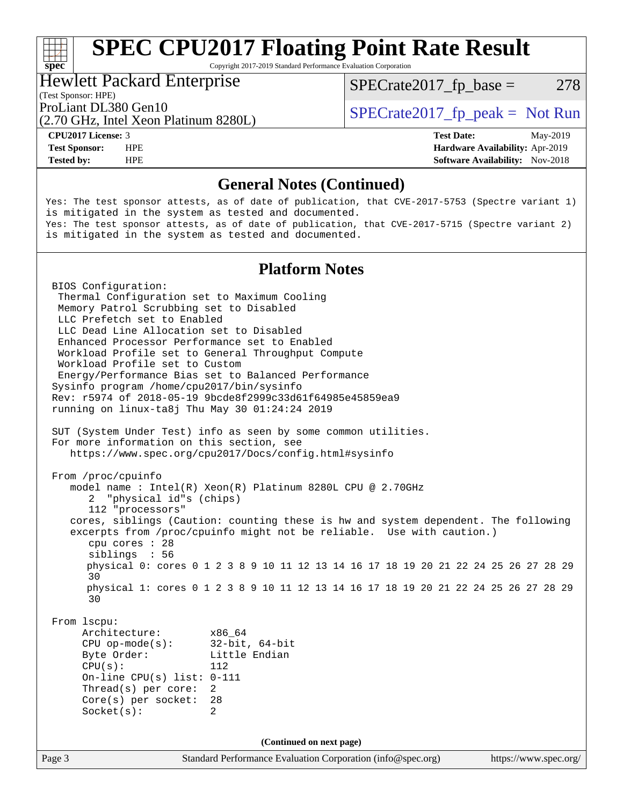## **[SPEC CPU2017 Floating Point Rate Result](http://www.spec.org/auto/cpu2017/Docs/result-fields.html#SPECCPU2017FloatingPointRateResult)**

Copyright 2017-2019 Standard Performance Evaluation Corporation

### Hewlett Packard Enterprise

 $SPECTate2017<sub>fr</sub> base = 278$ 

(Test Sponsor: HPE)

(2.70 GHz, Intel Xeon Platinum 8280L)

ProLiant DL380 Gen10  $SPECTA = 2017$  SPECrate 2017\_fp\_peak = Not Run

**[spec](http://www.spec.org/)**<sup>®</sup>

**[CPU2017 License:](http://www.spec.org/auto/cpu2017/Docs/result-fields.html#CPU2017License)** 3 **[Test Date:](http://www.spec.org/auto/cpu2017/Docs/result-fields.html#TestDate)** May-2019 **[Test Sponsor:](http://www.spec.org/auto/cpu2017/Docs/result-fields.html#TestSponsor)** HPE **[Hardware Availability:](http://www.spec.org/auto/cpu2017/Docs/result-fields.html#HardwareAvailability)** Apr-2019 **[Tested by:](http://www.spec.org/auto/cpu2017/Docs/result-fields.html#Testedby)** HPE **HPE [Software Availability:](http://www.spec.org/auto/cpu2017/Docs/result-fields.html#SoftwareAvailability)** Nov-2018

## **[General Notes \(Continued\)](http://www.spec.org/auto/cpu2017/Docs/result-fields.html#GeneralNotes)**

Yes: The test sponsor attests, as of date of publication, that CVE-2017-5753 (Spectre variant 1) is mitigated in the system as tested and documented. Yes: The test sponsor attests, as of date of publication, that CVE-2017-5715 (Spectre variant 2) is mitigated in the system as tested and documented.

## **[Platform Notes](http://www.spec.org/auto/cpu2017/Docs/result-fields.html#PlatformNotes)**

Page 3 Standard Performance Evaluation Corporation [\(info@spec.org\)](mailto:info@spec.org) <https://www.spec.org/> BIOS Configuration: Thermal Configuration set to Maximum Cooling Memory Patrol Scrubbing set to Disabled LLC Prefetch set to Enabled LLC Dead Line Allocation set to Disabled Enhanced Processor Performance set to Enabled Workload Profile set to General Throughput Compute Workload Profile set to Custom Energy/Performance Bias set to Balanced Performance Sysinfo program /home/cpu2017/bin/sysinfo Rev: r5974 of 2018-05-19 9bcde8f2999c33d61f64985e45859ea9 running on linux-ta8j Thu May 30 01:24:24 2019 SUT (System Under Test) info as seen by some common utilities. For more information on this section, see <https://www.spec.org/cpu2017/Docs/config.html#sysinfo> From /proc/cpuinfo model name : Intel(R) Xeon(R) Platinum 8280L CPU @ 2.70GHz 2 "physical id"s (chips) 112 "processors" cores, siblings (Caution: counting these is hw and system dependent. The following excerpts from /proc/cpuinfo might not be reliable. Use with caution.) cpu cores : 28 siblings : 56 physical 0: cores 0 1 2 3 8 9 10 11 12 13 14 16 17 18 19 20 21 22 24 25 26 27 28 29 30 physical 1: cores 0 1 2 3 8 9 10 11 12 13 14 16 17 18 19 20 21 22 24 25 26 27 28 29 30 From lscpu: Architecture: x86\_64 CPU op-mode(s): 32-bit, 64-bit Byte Order: Little Endian CPU(s): 112 On-line CPU(s) list: 0-111 Thread(s) per core: 2 Core(s) per socket: 28 Socket(s): 2 **(Continued on next page)**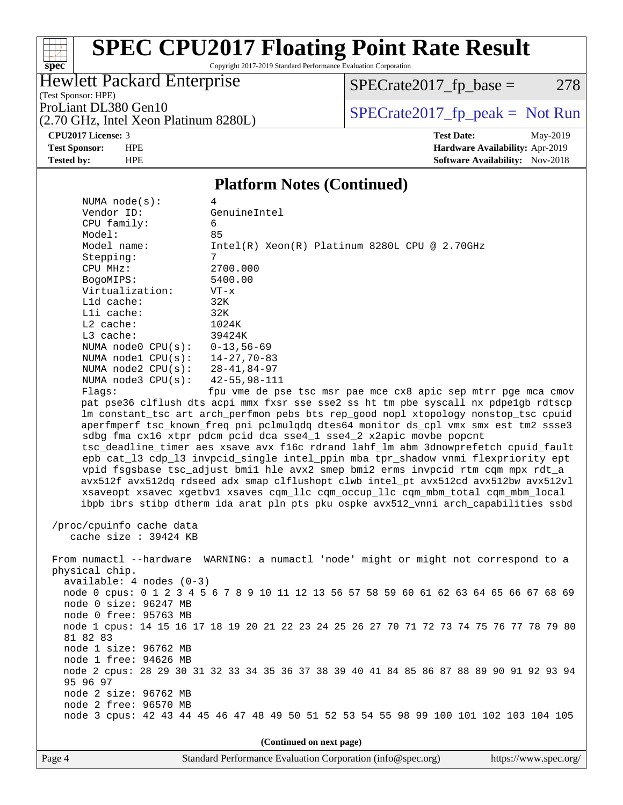# **[spec](http://www.spec.org/)**

# **[SPEC CPU2017 Floating Point Rate Result](http://www.spec.org/auto/cpu2017/Docs/result-fields.html#SPECCPU2017FloatingPointRateResult)**

Copyright 2017-2019 Standard Performance Evaluation Corporation

## Hewlett Packard Enterprise

 $SPECTate2017_fp\_base = 278$ 

(Test Sponsor: HPE)

(2.70 GHz, Intel Xeon Platinum 8280L)

ProLiant DL380 Gen10<br>(2.70 GHz, Intel Xeon Platinum 8280L) [SPECrate2017\\_fp\\_peak =](http://www.spec.org/auto/cpu2017/Docs/result-fields.html#SPECrate2017fppeak) Not Run

**[CPU2017 License:](http://www.spec.org/auto/cpu2017/Docs/result-fields.html#CPU2017License)** 3 **[Test Date:](http://www.spec.org/auto/cpu2017/Docs/result-fields.html#TestDate)** May-2019 **[Test Sponsor:](http://www.spec.org/auto/cpu2017/Docs/result-fields.html#TestSponsor)** HPE **[Hardware Availability:](http://www.spec.org/auto/cpu2017/Docs/result-fields.html#HardwareAvailability)** Apr-2019 **[Tested by:](http://www.spec.org/auto/cpu2017/Docs/result-fields.html#Testedby)** HPE **HPE [Software Availability:](http://www.spec.org/auto/cpu2017/Docs/result-fields.html#SoftwareAvailability)** Nov-2018

## **[Platform Notes \(Continued\)](http://www.spec.org/auto/cpu2017/Docs/result-fields.html#PlatformNotes)**

| NUMA $node(s):$                                                                      | 4                                                                                       |  |  |  |  |  |
|--------------------------------------------------------------------------------------|-----------------------------------------------------------------------------------------|--|--|--|--|--|
| Vendor ID:                                                                           | GenuineIntel                                                                            |  |  |  |  |  |
| CPU family:                                                                          | 6                                                                                       |  |  |  |  |  |
| Model:                                                                               | 85                                                                                      |  |  |  |  |  |
| Model name:                                                                          | $Intel(R) Xeon(R) Platinum 8280L CPU @ 2.70GHz$                                         |  |  |  |  |  |
| Stepping:                                                                            | $7\overline{ }$                                                                         |  |  |  |  |  |
| CPU MHz:                                                                             | 2700.000                                                                                |  |  |  |  |  |
| BogoMIPS:                                                                            | 5400.00                                                                                 |  |  |  |  |  |
| Virtualization:                                                                      | $VT - x$                                                                                |  |  |  |  |  |
| Lld cache:                                                                           | 32K                                                                                     |  |  |  |  |  |
| Lli cache:                                                                           | 32K                                                                                     |  |  |  |  |  |
| $L2$ cache:                                                                          | 1024K                                                                                   |  |  |  |  |  |
| L3 cache:                                                                            | 39424K                                                                                  |  |  |  |  |  |
| NUMA $node0$ $CPU(s):$                                                               | $0 - 13, 56 - 69$                                                                       |  |  |  |  |  |
| NUMA nodel CPU(s):                                                                   | 14-27,70-83                                                                             |  |  |  |  |  |
| NUMA $node2$ $CPU(s):$                                                               | 28-41,84-97                                                                             |  |  |  |  |  |
| NUMA $node3$ CPU $(s)$ :                                                             | 42-55,98-111                                                                            |  |  |  |  |  |
| Flags:                                                                               | fpu vme de pse tsc msr pae mce cx8 apic sep mtrr pge mca cmov                           |  |  |  |  |  |
|                                                                                      | pat pse36 clflush dts acpi mmx fxsr sse sse2 ss ht tm pbe syscall nx pdpelgb rdtscp     |  |  |  |  |  |
|                                                                                      | lm constant_tsc art arch_perfmon pebs bts rep_good nopl xtopology nonstop_tsc cpuid     |  |  |  |  |  |
|                                                                                      | aperfmperf tsc_known_freq pni pclmulqdq dtes64 monitor ds_cpl vmx smx est tm2 ssse3     |  |  |  |  |  |
|                                                                                      | sdbg fma cx16 xtpr pdcm pcid dca sse4_1 sse4_2 x2apic movbe popcnt                      |  |  |  |  |  |
|                                                                                      | tsc_deadline_timer aes xsave avx f16c rdrand lahf_lm abm 3dnowprefetch cpuid_fault      |  |  |  |  |  |
|                                                                                      | epb cat_13 cdp_13 invpcid_single intel_ppin mba tpr_shadow vnmi flexpriority ept        |  |  |  |  |  |
|                                                                                      | vpid fsgsbase tsc_adjust bmil hle avx2 smep bmi2 erms invpcid rtm cqm mpx rdt_a         |  |  |  |  |  |
|                                                                                      | avx512f avx512dq rdseed adx smap clflushopt clwb intel_pt avx512cd avx512bw avx512vl    |  |  |  |  |  |
| xsaveopt xsavec xgetbvl xsaves cqm_llc cqm_occup_llc cqm_mbm_total cqm_mbm_local     |                                                                                         |  |  |  |  |  |
|                                                                                      | ibpb ibrs stibp dtherm ida arat pln pts pku ospke avx512_vnni arch_capabilities ssbd    |  |  |  |  |  |
|                                                                                      |                                                                                         |  |  |  |  |  |
| /proc/cpuinfo cache data                                                             |                                                                                         |  |  |  |  |  |
| cache size : 39424 KB                                                                |                                                                                         |  |  |  |  |  |
|                                                                                      |                                                                                         |  |  |  |  |  |
| From numactl --hardware WARNING: a numactl 'node' might or might not correspond to a |                                                                                         |  |  |  |  |  |
| physical chip.                                                                       |                                                                                         |  |  |  |  |  |
| $available: 4 nodes (0-3)$                                                           |                                                                                         |  |  |  |  |  |
|                                                                                      | node 0 cpus: 0 1 2 3 4 5 6 7 8 9 10 11 12 13 56 57 58 59 60 61 62 63 64 65 66 67 68 69  |  |  |  |  |  |
| node 0 size: 96247 MB                                                                |                                                                                         |  |  |  |  |  |
| node 0 free: 95763 MB                                                                |                                                                                         |  |  |  |  |  |
|                                                                                      | node 1 cpus: 14 15 16 17 18 19 20 21 22 23 24 25 26 27 70 71 72 73 74 75 76 77 78 79 80 |  |  |  |  |  |
| 81 82 83                                                                             |                                                                                         |  |  |  |  |  |
| node 1 size: 96762 MB                                                                |                                                                                         |  |  |  |  |  |
| node 1 free: 94626 MB                                                                |                                                                                         |  |  |  |  |  |
|                                                                                      | node 2 cpus: 28 29 30 31 32 33 34 35 36 37 38 39 40 41 84 85 86 87 88 89 90 91 92 93 94 |  |  |  |  |  |
| 95 96 97                                                                             |                                                                                         |  |  |  |  |  |
| node 2 size: 96762 MB                                                                |                                                                                         |  |  |  |  |  |
| node 2 free: 96570 MB                                                                |                                                                                         |  |  |  |  |  |
|                                                                                      | node 3 cpus: 42 43 44 45 46 47 48 49 50 51 52 53 54 55 98 99 100 101 102 103 104 105    |  |  |  |  |  |
|                                                                                      |                                                                                         |  |  |  |  |  |
| (Continued on next page)                                                             |                                                                                         |  |  |  |  |  |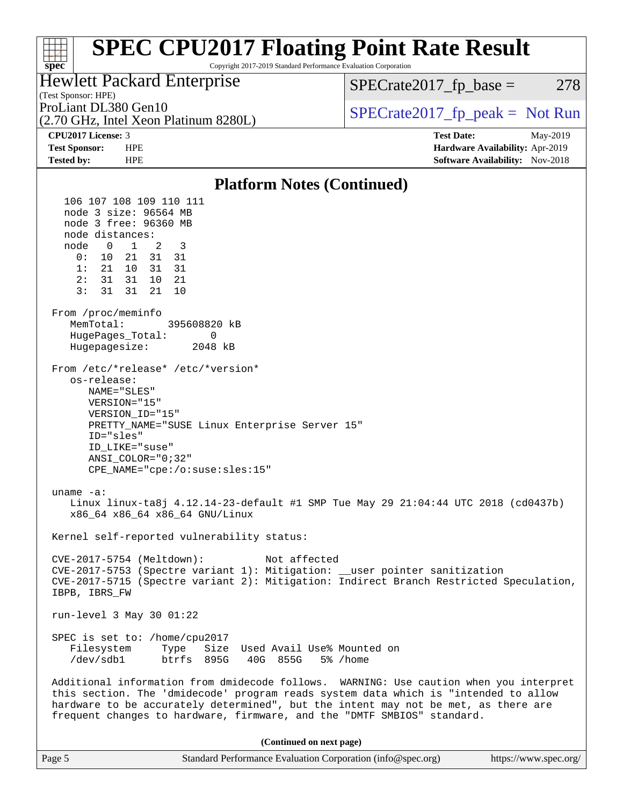### **[SPEC CPU2017 Floating Point Rate Result](http://www.spec.org/auto/cpu2017/Docs/result-fields.html#SPECCPU2017FloatingPointRateResult)**  $\pm\tau$ **[spec](http://www.spec.org/)** Copyright 2017-2019 Standard Performance Evaluation Corporation Hewlett Packard Enterprise  $SPECTate2017<sub>fr</sub> base = 278$ (Test Sponsor: HPE) ProLiant DL380 Gen10  $SPECTA = 2017$  SPECrate 2017\_fp\_peak = Not Run (2.70 GHz, Intel Xeon Platinum 8280L) **[CPU2017 License:](http://www.spec.org/auto/cpu2017/Docs/result-fields.html#CPU2017License)** 3 **[Test Date:](http://www.spec.org/auto/cpu2017/Docs/result-fields.html#TestDate)** May-2019 **[Test Sponsor:](http://www.spec.org/auto/cpu2017/Docs/result-fields.html#TestSponsor)** HPE **[Hardware Availability:](http://www.spec.org/auto/cpu2017/Docs/result-fields.html#HardwareAvailability)** Apr-2019 **[Tested by:](http://www.spec.org/auto/cpu2017/Docs/result-fields.html#Testedby)** HPE **[Software Availability:](http://www.spec.org/auto/cpu2017/Docs/result-fields.html#SoftwareAvailability)** Nov-2018 **[Platform Notes \(Continued\)](http://www.spec.org/auto/cpu2017/Docs/result-fields.html#PlatformNotes)** 106 107 108 109 110 111 node 3 size: 96564 MB node 3 free: 96360 MB node distances: node 0 1 2 3 0: 10 21 31 31 1: 21 10 31 31 2: 31 31 10 21 3: 31 31 21 10 From /proc/meminfo MemTotal: 395608820 kB HugePages\_Total: 0 Hugepagesize: 2048 kB From /etc/\*release\* /etc/\*version\* os-release: NAME="SLES" VERSION="15" VERSION\_ID="15" PRETTY\_NAME="SUSE Linux Enterprise Server 15" ID="sles" ID\_LIKE="suse" ANSI\_COLOR="0;32" CPE\_NAME="cpe:/o:suse:sles:15" uname -a: Linux linux-ta8j 4.12.14-23-default #1 SMP Tue May 29 21:04:44 UTC 2018 (cd0437b) x86\_64 x86\_64 x86\_64 GNU/Linux Kernel self-reported vulnerability status: CVE-2017-5754 (Meltdown): Not affected CVE-2017-5753 (Spectre variant 1): Mitigation: \_\_user pointer sanitization CVE-2017-5715 (Spectre variant 2): Mitigation: Indirect Branch Restricted Speculation, IBPB, IBRS\_FW run-level 3 May 30 01:22 SPEC is set to: /home/cpu2017 Filesystem Type Size Used Avail Use% Mounted on<br>
/dev/sdb1 btrfs 895G 40G 855G 5% /home btrfs 895G 40G 855G 5% /home Additional information from dmidecode follows. WARNING: Use caution when you interpret this section. The 'dmidecode' program reads system data which is "intended to allow hardware to be accurately determined", but the intent may not be met, as there are frequent changes to hardware, firmware, and the "DMTF SMBIOS" standard.

**(Continued on next page)**

| Page 5 | Standard Performance Evaluation Corporation (info@spec.org) | https://www.spec.org/ |
|--------|-------------------------------------------------------------|-----------------------|
|--------|-------------------------------------------------------------|-----------------------|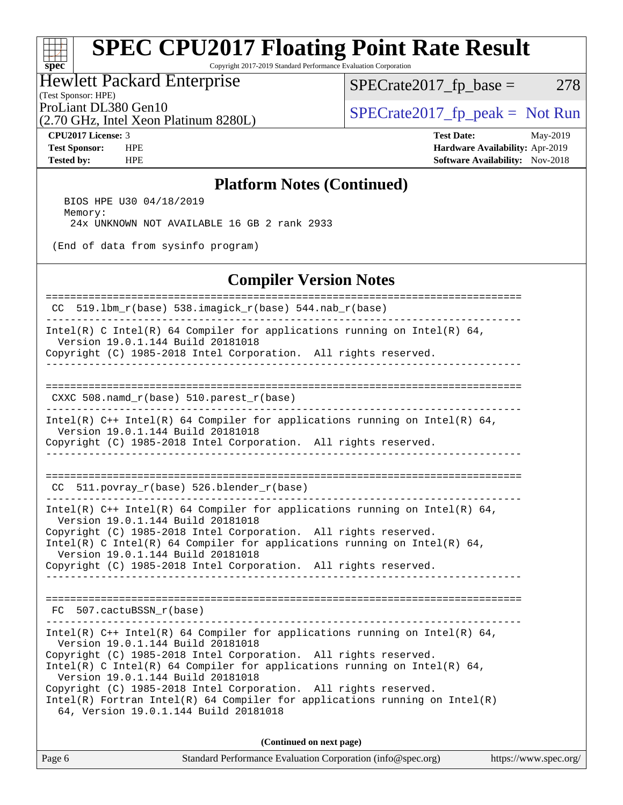## **[SPEC CPU2017 Floating Point Rate Result](http://www.spec.org/auto/cpu2017/Docs/result-fields.html#SPECCPU2017FloatingPointRateResult)**

Copyright 2017-2019 Standard Performance Evaluation Corporation

## Hewlett Packard Enterprise

(Test Sponsor: HPE)

 $SPECTate2017_fp\_base = 278$ 

(2.70 GHz, Intel Xeon Platinum 8280L)

ProLiant DL380 Gen10<br>  $\begin{array}{c|c}\n\text{ProLiant DL380 Gen10} & \text{SPECrate2017\_fp\_peak} = \text{Not Run}\n\end{array}$ 

**[spec](http://www.spec.org/)**

 $\pm$ 

**[CPU2017 License:](http://www.spec.org/auto/cpu2017/Docs/result-fields.html#CPU2017License)** 3 **[Test Date:](http://www.spec.org/auto/cpu2017/Docs/result-fields.html#TestDate)** May-2019 **[Test Sponsor:](http://www.spec.org/auto/cpu2017/Docs/result-fields.html#TestSponsor)** HPE **[Hardware Availability:](http://www.spec.org/auto/cpu2017/Docs/result-fields.html#HardwareAvailability)** Apr-2019 **[Tested by:](http://www.spec.org/auto/cpu2017/Docs/result-fields.html#Testedby)** HPE **HPE [Software Availability:](http://www.spec.org/auto/cpu2017/Docs/result-fields.html#SoftwareAvailability)** Nov-2018

## **[Platform Notes \(Continued\)](http://www.spec.org/auto/cpu2017/Docs/result-fields.html#PlatformNotes)**

 BIOS HPE U30 04/18/2019 Memory: 24x UNKNOWN NOT AVAILABLE 16 GB 2 rank 2933

(End of data from sysinfo program)

## **[Compiler Version Notes](http://www.spec.org/auto/cpu2017/Docs/result-fields.html#CompilerVersionNotes)**

| 519.1bm_r(base) 538.imagick_r(base) 544.nab_r(base)<br>CC.                                                                                                                                                                                                                                                                                                                                                                                                                                      |  |  |  |  |  |  |
|-------------------------------------------------------------------------------------------------------------------------------------------------------------------------------------------------------------------------------------------------------------------------------------------------------------------------------------------------------------------------------------------------------------------------------------------------------------------------------------------------|--|--|--|--|--|--|
| Intel(R) C Intel(R) 64 Compiler for applications running on Intel(R) 64,<br>Version 19.0.1.144 Build 20181018<br>Copyright (C) 1985-2018 Intel Corporation. All rights reserved.                                                                                                                                                                                                                                                                                                                |  |  |  |  |  |  |
| CXXC 508.namd_r(base) 510.parest_r(base)                                                                                                                                                                                                                                                                                                                                                                                                                                                        |  |  |  |  |  |  |
| Intel(R) $C++$ Intel(R) 64 Compiler for applications running on Intel(R) 64,<br>Version 19.0.1.144 Build 20181018<br>Copyright (C) 1985-2018 Intel Corporation. All rights reserved.                                                                                                                                                                                                                                                                                                            |  |  |  |  |  |  |
| $CC$ 511.povray $r(base)$ 526.blender $r(base)$                                                                                                                                                                                                                                                                                                                                                                                                                                                 |  |  |  |  |  |  |
| Intel(R) $C++$ Intel(R) 64 Compiler for applications running on Intel(R) 64,<br>Version 19.0.1.144 Build 20181018<br>Copyright (C) 1985-2018 Intel Corporation. All rights reserved.<br>Intel(R) C Intel(R) 64 Compiler for applications running on Intel(R) 64,<br>Version 19.0.1.144 Build 20181018<br>Copyright (C) 1985-2018 Intel Corporation. All rights reserved.                                                                                                                        |  |  |  |  |  |  |
| FC 507.cactuBSSN_r(base)                                                                                                                                                                                                                                                                                                                                                                                                                                                                        |  |  |  |  |  |  |
| Intel(R) C++ Intel(R) 64 Compiler for applications running on Intel(R) 64,<br>Version 19.0.1.144 Build 20181018<br>Copyright (C) 1985-2018 Intel Corporation. All rights reserved.<br>Intel(R) C Intel(R) 64 Compiler for applications running on Intel(R) 64,<br>Version 19.0.1.144 Build 20181018<br>Copyright (C) 1985-2018 Intel Corporation. All rights reserved.<br>$Intel(R)$ Fortran Intel(R) 64 Compiler for applications running on Intel(R)<br>64, Version 19.0.1.144 Build 20181018 |  |  |  |  |  |  |
| (Continued on next page)                                                                                                                                                                                                                                                                                                                                                                                                                                                                        |  |  |  |  |  |  |

Page 6 Standard Performance Evaluation Corporation [\(info@spec.org\)](mailto:info@spec.org) <https://www.spec.org/>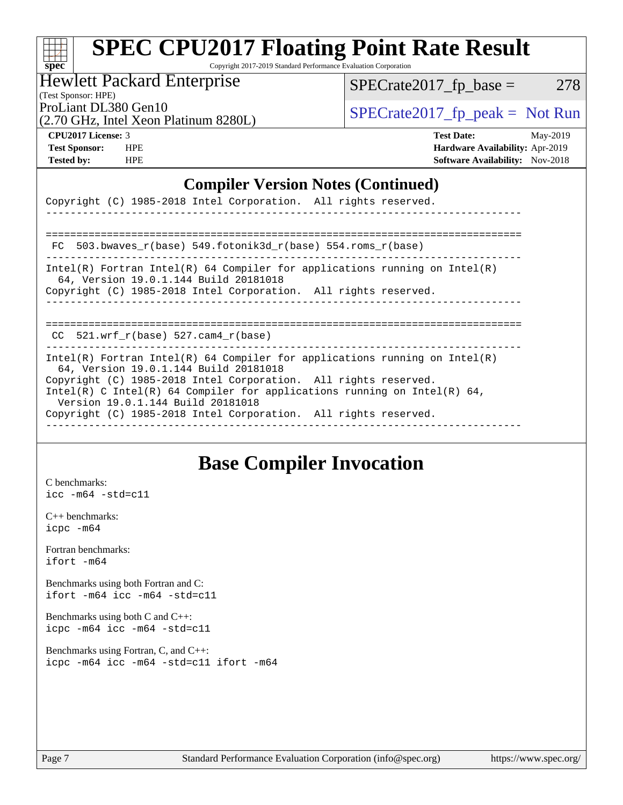| <b>SPEC CPU2017 Floating Point Rate Result</b> |
|------------------------------------------------|
|                                                |

aluation Corporation

Hewlett Packard Enterprise

 $SPECTate2017_fp\_base = 278$ 

(Test Sponsor: HPE)

(2.70 GHz, Intel Xeon Platinum 8280L)

ProLiant DL380 Gen10<br>  $\begin{array}{r} \text{SPECrate2017\_fp\_peak = Not Run} \\ \text{SPECrate2017\_fp\_peak = Not Run} \end{array}$ 

**[spec](http://www.spec.org/)**

**[CPU2017 License:](http://www.spec.org/auto/cpu2017/Docs/result-fields.html#CPU2017License)** 3 **[Test Date:](http://www.spec.org/auto/cpu2017/Docs/result-fields.html#TestDate)** May-2019 **[Test Sponsor:](http://www.spec.org/auto/cpu2017/Docs/result-fields.html#TestSponsor)** HPE **[Hardware Availability:](http://www.spec.org/auto/cpu2017/Docs/result-fields.html#HardwareAvailability)** Apr-2019 **[Tested by:](http://www.spec.org/auto/cpu2017/Docs/result-fields.html#Testedby)** HPE **HPE [Software Availability:](http://www.spec.org/auto/cpu2017/Docs/result-fields.html#SoftwareAvailability)** Nov-2018

## **[Compiler Version Notes \(Continued\)](http://www.spec.org/auto/cpu2017/Docs/result-fields.html#CompilerVersionNotes)**

| Copyright (C) 1985-2018 Intel Corporation. All rights reserved.                                                                                                                  |
|----------------------------------------------------------------------------------------------------------------------------------------------------------------------------------|
|                                                                                                                                                                                  |
| FC 503.bwaves $r(base)$ 549.fotonik3d $r(base)$ 554.roms $r(base)$                                                                                                               |
| $Intel(R)$ Fortran Intel(R) 64 Compiler for applications running on Intel(R)<br>64, Version 19.0.1.144 Build 20181018                                                            |
| Copyright (C) 1985-2018 Intel Corporation. All rights reserved.<br>-----------------                                                                                             |
|                                                                                                                                                                                  |
| $CC$ 521.wrf $r(base)$ 527.cam4 $r(base)$                                                                                                                                        |
|                                                                                                                                                                                  |
| Intel(R) Fortran Intel(R) 64 Compiler for applications running on Intel(R)<br>64, Version 19.0.1.144 Build 20181018                                                              |
| Copyright (C) 1985-2018 Intel Corporation. All rights reserved.                                                                                                                  |
| Intel(R) C Intel(R) 64 Compiler for applications running on Intel(R) 64,<br>Version 19.0.1.144 Build 20181018<br>Copyright (C) 1985-2018 Intel Corporation. All rights reserved. |

## **[Base Compiler Invocation](http://www.spec.org/auto/cpu2017/Docs/result-fields.html#BaseCompilerInvocation)**

[C benchmarks](http://www.spec.org/auto/cpu2017/Docs/result-fields.html#Cbenchmarks): [icc -m64 -std=c11](http://www.spec.org/cpu2017/results/res2019q3/cpu2017-20190624-15578.flags.html#user_CCbase_intel_icc_64bit_c11_33ee0cdaae7deeeab2a9725423ba97205ce30f63b9926c2519791662299b76a0318f32ddfffdc46587804de3178b4f9328c46fa7c2b0cd779d7a61945c91cd35)

[C++ benchmarks:](http://www.spec.org/auto/cpu2017/Docs/result-fields.html#CXXbenchmarks) [icpc -m64](http://www.spec.org/cpu2017/results/res2019q3/cpu2017-20190624-15578.flags.html#user_CXXbase_intel_icpc_64bit_4ecb2543ae3f1412ef961e0650ca070fec7b7afdcd6ed48761b84423119d1bf6bdf5cad15b44d48e7256388bc77273b966e5eb805aefd121eb22e9299b2ec9d9)

[Fortran benchmarks](http://www.spec.org/auto/cpu2017/Docs/result-fields.html#Fortranbenchmarks): [ifort -m64](http://www.spec.org/cpu2017/results/res2019q3/cpu2017-20190624-15578.flags.html#user_FCbase_intel_ifort_64bit_24f2bb282fbaeffd6157abe4f878425411749daecae9a33200eee2bee2fe76f3b89351d69a8130dd5949958ce389cf37ff59a95e7a40d588e8d3a57e0c3fd751)

[Benchmarks using both Fortran and C](http://www.spec.org/auto/cpu2017/Docs/result-fields.html#BenchmarksusingbothFortranandC): [ifort -m64](http://www.spec.org/cpu2017/results/res2019q3/cpu2017-20190624-15578.flags.html#user_CC_FCbase_intel_ifort_64bit_24f2bb282fbaeffd6157abe4f878425411749daecae9a33200eee2bee2fe76f3b89351d69a8130dd5949958ce389cf37ff59a95e7a40d588e8d3a57e0c3fd751) [icc -m64 -std=c11](http://www.spec.org/cpu2017/results/res2019q3/cpu2017-20190624-15578.flags.html#user_CC_FCbase_intel_icc_64bit_c11_33ee0cdaae7deeeab2a9725423ba97205ce30f63b9926c2519791662299b76a0318f32ddfffdc46587804de3178b4f9328c46fa7c2b0cd779d7a61945c91cd35)

[Benchmarks using both C and C++](http://www.spec.org/auto/cpu2017/Docs/result-fields.html#BenchmarksusingbothCandCXX): [icpc -m64](http://www.spec.org/cpu2017/results/res2019q3/cpu2017-20190624-15578.flags.html#user_CC_CXXbase_intel_icpc_64bit_4ecb2543ae3f1412ef961e0650ca070fec7b7afdcd6ed48761b84423119d1bf6bdf5cad15b44d48e7256388bc77273b966e5eb805aefd121eb22e9299b2ec9d9) [icc -m64 -std=c11](http://www.spec.org/cpu2017/results/res2019q3/cpu2017-20190624-15578.flags.html#user_CC_CXXbase_intel_icc_64bit_c11_33ee0cdaae7deeeab2a9725423ba97205ce30f63b9926c2519791662299b76a0318f32ddfffdc46587804de3178b4f9328c46fa7c2b0cd779d7a61945c91cd35)

[Benchmarks using Fortran, C, and C++:](http://www.spec.org/auto/cpu2017/Docs/result-fields.html#BenchmarksusingFortranCandCXX) [icpc -m64](http://www.spec.org/cpu2017/results/res2019q3/cpu2017-20190624-15578.flags.html#user_CC_CXX_FCbase_intel_icpc_64bit_4ecb2543ae3f1412ef961e0650ca070fec7b7afdcd6ed48761b84423119d1bf6bdf5cad15b44d48e7256388bc77273b966e5eb805aefd121eb22e9299b2ec9d9) [icc -m64 -std=c11](http://www.spec.org/cpu2017/results/res2019q3/cpu2017-20190624-15578.flags.html#user_CC_CXX_FCbase_intel_icc_64bit_c11_33ee0cdaae7deeeab2a9725423ba97205ce30f63b9926c2519791662299b76a0318f32ddfffdc46587804de3178b4f9328c46fa7c2b0cd779d7a61945c91cd35) [ifort -m64](http://www.spec.org/cpu2017/results/res2019q3/cpu2017-20190624-15578.flags.html#user_CC_CXX_FCbase_intel_ifort_64bit_24f2bb282fbaeffd6157abe4f878425411749daecae9a33200eee2bee2fe76f3b89351d69a8130dd5949958ce389cf37ff59a95e7a40d588e8d3a57e0c3fd751)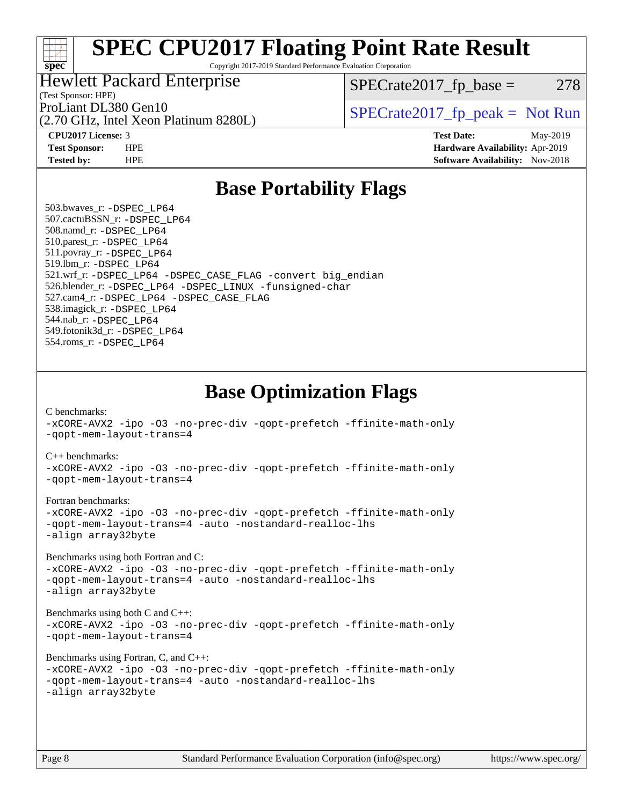## a tim **[spec](http://www.spec.org/)**

# **[SPEC CPU2017 Floating Point Rate Result](http://www.spec.org/auto/cpu2017/Docs/result-fields.html#SPECCPU2017FloatingPointRateResult)**

Copyright 2017-2019 Standard Performance Evaluation Corporation

## Hewlett Packard Enterprise

 $SPECTate2017<sub>fr</sub> base = 278$ 

## (Test Sponsor: HPE)

(2.70 GHz, Intel Xeon Platinum 8280L)

ProLiant DL380 Gen10  $SPECTR_{12}$  [SPECrate2017\\_fp\\_peak =](http://www.spec.org/auto/cpu2017/Docs/result-fields.html#SPECrate2017fppeak) Not Run

**[CPU2017 License:](http://www.spec.org/auto/cpu2017/Docs/result-fields.html#CPU2017License)** 3 **[Test Date:](http://www.spec.org/auto/cpu2017/Docs/result-fields.html#TestDate)** May-2019 **[Test Sponsor:](http://www.spec.org/auto/cpu2017/Docs/result-fields.html#TestSponsor)** HPE **[Hardware Availability:](http://www.spec.org/auto/cpu2017/Docs/result-fields.html#HardwareAvailability)** Apr-2019 **[Tested by:](http://www.spec.org/auto/cpu2017/Docs/result-fields.html#Testedby)** HPE **[Software Availability:](http://www.spec.org/auto/cpu2017/Docs/result-fields.html#SoftwareAvailability)** Nov-2018

## **[Base Portability Flags](http://www.spec.org/auto/cpu2017/Docs/result-fields.html#BasePortabilityFlags)**

 503.bwaves\_r: [-DSPEC\\_LP64](http://www.spec.org/cpu2017/results/res2019q3/cpu2017-20190624-15578.flags.html#suite_basePORTABILITY503_bwaves_r_DSPEC_LP64) 507.cactuBSSN\_r: [-DSPEC\\_LP64](http://www.spec.org/cpu2017/results/res2019q3/cpu2017-20190624-15578.flags.html#suite_basePORTABILITY507_cactuBSSN_r_DSPEC_LP64) 508.namd\_r: [-DSPEC\\_LP64](http://www.spec.org/cpu2017/results/res2019q3/cpu2017-20190624-15578.flags.html#suite_basePORTABILITY508_namd_r_DSPEC_LP64) 510.parest\_r: [-DSPEC\\_LP64](http://www.spec.org/cpu2017/results/res2019q3/cpu2017-20190624-15578.flags.html#suite_basePORTABILITY510_parest_r_DSPEC_LP64) 511.povray\_r: [-DSPEC\\_LP64](http://www.spec.org/cpu2017/results/res2019q3/cpu2017-20190624-15578.flags.html#suite_basePORTABILITY511_povray_r_DSPEC_LP64) 519.lbm\_r: [-DSPEC\\_LP64](http://www.spec.org/cpu2017/results/res2019q3/cpu2017-20190624-15578.flags.html#suite_basePORTABILITY519_lbm_r_DSPEC_LP64) 521.wrf\_r: [-DSPEC\\_LP64](http://www.spec.org/cpu2017/results/res2019q3/cpu2017-20190624-15578.flags.html#suite_basePORTABILITY521_wrf_r_DSPEC_LP64) [-DSPEC\\_CASE\\_FLAG](http://www.spec.org/cpu2017/results/res2019q3/cpu2017-20190624-15578.flags.html#b521.wrf_r_baseCPORTABILITY_DSPEC_CASE_FLAG) [-convert big\\_endian](http://www.spec.org/cpu2017/results/res2019q3/cpu2017-20190624-15578.flags.html#user_baseFPORTABILITY521_wrf_r_convert_big_endian_c3194028bc08c63ac5d04de18c48ce6d347e4e562e8892b8bdbdc0214820426deb8554edfa529a3fb25a586e65a3d812c835984020483e7e73212c4d31a38223) 526.blender\_r: [-DSPEC\\_LP64](http://www.spec.org/cpu2017/results/res2019q3/cpu2017-20190624-15578.flags.html#suite_basePORTABILITY526_blender_r_DSPEC_LP64) [-DSPEC\\_LINUX](http://www.spec.org/cpu2017/results/res2019q3/cpu2017-20190624-15578.flags.html#b526.blender_r_baseCPORTABILITY_DSPEC_LINUX) [-funsigned-char](http://www.spec.org/cpu2017/results/res2019q3/cpu2017-20190624-15578.flags.html#user_baseCPORTABILITY526_blender_r_force_uchar_40c60f00ab013830e2dd6774aeded3ff59883ba5a1fc5fc14077f794d777847726e2a5858cbc7672e36e1b067e7e5c1d9a74f7176df07886a243d7cc18edfe67) 527.cam4\_r: [-DSPEC\\_LP64](http://www.spec.org/cpu2017/results/res2019q3/cpu2017-20190624-15578.flags.html#suite_basePORTABILITY527_cam4_r_DSPEC_LP64) [-DSPEC\\_CASE\\_FLAG](http://www.spec.org/cpu2017/results/res2019q3/cpu2017-20190624-15578.flags.html#b527.cam4_r_baseCPORTABILITY_DSPEC_CASE_FLAG) 538.imagick\_r: [-DSPEC\\_LP64](http://www.spec.org/cpu2017/results/res2019q3/cpu2017-20190624-15578.flags.html#suite_basePORTABILITY538_imagick_r_DSPEC_LP64) 544.nab\_r: [-DSPEC\\_LP64](http://www.spec.org/cpu2017/results/res2019q3/cpu2017-20190624-15578.flags.html#suite_basePORTABILITY544_nab_r_DSPEC_LP64) 549.fotonik3d\_r: [-DSPEC\\_LP64](http://www.spec.org/cpu2017/results/res2019q3/cpu2017-20190624-15578.flags.html#suite_basePORTABILITY549_fotonik3d_r_DSPEC_LP64) 554.roms\_r: [-DSPEC\\_LP64](http://www.spec.org/cpu2017/results/res2019q3/cpu2017-20190624-15578.flags.html#suite_basePORTABILITY554_roms_r_DSPEC_LP64)

## **[Base Optimization Flags](http://www.spec.org/auto/cpu2017/Docs/result-fields.html#BaseOptimizationFlags)**

[C benchmarks](http://www.spec.org/auto/cpu2017/Docs/result-fields.html#Cbenchmarks):

[-xCORE-AVX2](http://www.spec.org/cpu2017/results/res2019q3/cpu2017-20190624-15578.flags.html#user_CCbase_f-xCORE-AVX2) [-ipo](http://www.spec.org/cpu2017/results/res2019q3/cpu2017-20190624-15578.flags.html#user_CCbase_f-ipo) [-O3](http://www.spec.org/cpu2017/results/res2019q3/cpu2017-20190624-15578.flags.html#user_CCbase_f-O3) [-no-prec-div](http://www.spec.org/cpu2017/results/res2019q3/cpu2017-20190624-15578.flags.html#user_CCbase_f-no-prec-div) [-qopt-prefetch](http://www.spec.org/cpu2017/results/res2019q3/cpu2017-20190624-15578.flags.html#user_CCbase_f-qopt-prefetch) [-ffinite-math-only](http://www.spec.org/cpu2017/results/res2019q3/cpu2017-20190624-15578.flags.html#user_CCbase_f_finite_math_only_cb91587bd2077682c4b38af759c288ed7c732db004271a9512da14a4f8007909a5f1427ecbf1a0fb78ff2a814402c6114ac565ca162485bbcae155b5e4258871) [-qopt-mem-layout-trans=4](http://www.spec.org/cpu2017/results/res2019q3/cpu2017-20190624-15578.flags.html#user_CCbase_f-qopt-mem-layout-trans_fa39e755916c150a61361b7846f310bcdf6f04e385ef281cadf3647acec3f0ae266d1a1d22d972a7087a248fd4e6ca390a3634700869573d231a252c784941a8) [C++ benchmarks:](http://www.spec.org/auto/cpu2017/Docs/result-fields.html#CXXbenchmarks) [-xCORE-AVX2](http://www.spec.org/cpu2017/results/res2019q3/cpu2017-20190624-15578.flags.html#user_CXXbase_f-xCORE-AVX2) [-ipo](http://www.spec.org/cpu2017/results/res2019q3/cpu2017-20190624-15578.flags.html#user_CXXbase_f-ipo) [-O3](http://www.spec.org/cpu2017/results/res2019q3/cpu2017-20190624-15578.flags.html#user_CXXbase_f-O3) [-no-prec-div](http://www.spec.org/cpu2017/results/res2019q3/cpu2017-20190624-15578.flags.html#user_CXXbase_f-no-prec-div) [-qopt-prefetch](http://www.spec.org/cpu2017/results/res2019q3/cpu2017-20190624-15578.flags.html#user_CXXbase_f-qopt-prefetch) [-ffinite-math-only](http://www.spec.org/cpu2017/results/res2019q3/cpu2017-20190624-15578.flags.html#user_CXXbase_f_finite_math_only_cb91587bd2077682c4b38af759c288ed7c732db004271a9512da14a4f8007909a5f1427ecbf1a0fb78ff2a814402c6114ac565ca162485bbcae155b5e4258871) [-qopt-mem-layout-trans=4](http://www.spec.org/cpu2017/results/res2019q3/cpu2017-20190624-15578.flags.html#user_CXXbase_f-qopt-mem-layout-trans_fa39e755916c150a61361b7846f310bcdf6f04e385ef281cadf3647acec3f0ae266d1a1d22d972a7087a248fd4e6ca390a3634700869573d231a252c784941a8) [Fortran benchmarks](http://www.spec.org/auto/cpu2017/Docs/result-fields.html#Fortranbenchmarks): [-xCORE-AVX2](http://www.spec.org/cpu2017/results/res2019q3/cpu2017-20190624-15578.flags.html#user_FCbase_f-xCORE-AVX2) [-ipo](http://www.spec.org/cpu2017/results/res2019q3/cpu2017-20190624-15578.flags.html#user_FCbase_f-ipo) [-O3](http://www.spec.org/cpu2017/results/res2019q3/cpu2017-20190624-15578.flags.html#user_FCbase_f-O3) [-no-prec-div](http://www.spec.org/cpu2017/results/res2019q3/cpu2017-20190624-15578.flags.html#user_FCbase_f-no-prec-div) [-qopt-prefetch](http://www.spec.org/cpu2017/results/res2019q3/cpu2017-20190624-15578.flags.html#user_FCbase_f-qopt-prefetch) [-ffinite-math-only](http://www.spec.org/cpu2017/results/res2019q3/cpu2017-20190624-15578.flags.html#user_FCbase_f_finite_math_only_cb91587bd2077682c4b38af759c288ed7c732db004271a9512da14a4f8007909a5f1427ecbf1a0fb78ff2a814402c6114ac565ca162485bbcae155b5e4258871) [-qopt-mem-layout-trans=4](http://www.spec.org/cpu2017/results/res2019q3/cpu2017-20190624-15578.flags.html#user_FCbase_f-qopt-mem-layout-trans_fa39e755916c150a61361b7846f310bcdf6f04e385ef281cadf3647acec3f0ae266d1a1d22d972a7087a248fd4e6ca390a3634700869573d231a252c784941a8) [-auto](http://www.spec.org/cpu2017/results/res2019q3/cpu2017-20190624-15578.flags.html#user_FCbase_f-auto) [-nostandard-realloc-lhs](http://www.spec.org/cpu2017/results/res2019q3/cpu2017-20190624-15578.flags.html#user_FCbase_f_2003_std_realloc_82b4557e90729c0f113870c07e44d33d6f5a304b4f63d4c15d2d0f1fab99f5daaed73bdb9275d9ae411527f28b936061aa8b9c8f2d63842963b95c9dd6426b8a) [-align array32byte](http://www.spec.org/cpu2017/results/res2019q3/cpu2017-20190624-15578.flags.html#user_FCbase_align_array32byte_b982fe038af199962ba9a80c053b8342c548c85b40b8e86eb3cc33dee0d7986a4af373ac2d51c3f7cf710a18d62fdce2948f201cd044323541f22fc0fffc51b6) [Benchmarks using both Fortran and C](http://www.spec.org/auto/cpu2017/Docs/result-fields.html#BenchmarksusingbothFortranandC): [-xCORE-AVX2](http://www.spec.org/cpu2017/results/res2019q3/cpu2017-20190624-15578.flags.html#user_CC_FCbase_f-xCORE-AVX2) [-ipo](http://www.spec.org/cpu2017/results/res2019q3/cpu2017-20190624-15578.flags.html#user_CC_FCbase_f-ipo) [-O3](http://www.spec.org/cpu2017/results/res2019q3/cpu2017-20190624-15578.flags.html#user_CC_FCbase_f-O3) [-no-prec-div](http://www.spec.org/cpu2017/results/res2019q3/cpu2017-20190624-15578.flags.html#user_CC_FCbase_f-no-prec-div) [-qopt-prefetch](http://www.spec.org/cpu2017/results/res2019q3/cpu2017-20190624-15578.flags.html#user_CC_FCbase_f-qopt-prefetch) [-ffinite-math-only](http://www.spec.org/cpu2017/results/res2019q3/cpu2017-20190624-15578.flags.html#user_CC_FCbase_f_finite_math_only_cb91587bd2077682c4b38af759c288ed7c732db004271a9512da14a4f8007909a5f1427ecbf1a0fb78ff2a814402c6114ac565ca162485bbcae155b5e4258871) [-qopt-mem-layout-trans=4](http://www.spec.org/cpu2017/results/res2019q3/cpu2017-20190624-15578.flags.html#user_CC_FCbase_f-qopt-mem-layout-trans_fa39e755916c150a61361b7846f310bcdf6f04e385ef281cadf3647acec3f0ae266d1a1d22d972a7087a248fd4e6ca390a3634700869573d231a252c784941a8) [-auto](http://www.spec.org/cpu2017/results/res2019q3/cpu2017-20190624-15578.flags.html#user_CC_FCbase_f-auto) [-nostandard-realloc-lhs](http://www.spec.org/cpu2017/results/res2019q3/cpu2017-20190624-15578.flags.html#user_CC_FCbase_f_2003_std_realloc_82b4557e90729c0f113870c07e44d33d6f5a304b4f63d4c15d2d0f1fab99f5daaed73bdb9275d9ae411527f28b936061aa8b9c8f2d63842963b95c9dd6426b8a) [-align array32byte](http://www.spec.org/cpu2017/results/res2019q3/cpu2017-20190624-15578.flags.html#user_CC_FCbase_align_array32byte_b982fe038af199962ba9a80c053b8342c548c85b40b8e86eb3cc33dee0d7986a4af373ac2d51c3f7cf710a18d62fdce2948f201cd044323541f22fc0fffc51b6) [Benchmarks using both C and C++](http://www.spec.org/auto/cpu2017/Docs/result-fields.html#BenchmarksusingbothCandCXX): [-xCORE-AVX2](http://www.spec.org/cpu2017/results/res2019q3/cpu2017-20190624-15578.flags.html#user_CC_CXXbase_f-xCORE-AVX2) [-ipo](http://www.spec.org/cpu2017/results/res2019q3/cpu2017-20190624-15578.flags.html#user_CC_CXXbase_f-ipo) [-O3](http://www.spec.org/cpu2017/results/res2019q3/cpu2017-20190624-15578.flags.html#user_CC_CXXbase_f-O3) [-no-prec-div](http://www.spec.org/cpu2017/results/res2019q3/cpu2017-20190624-15578.flags.html#user_CC_CXXbase_f-no-prec-div) [-qopt-prefetch](http://www.spec.org/cpu2017/results/res2019q3/cpu2017-20190624-15578.flags.html#user_CC_CXXbase_f-qopt-prefetch) [-ffinite-math-only](http://www.spec.org/cpu2017/results/res2019q3/cpu2017-20190624-15578.flags.html#user_CC_CXXbase_f_finite_math_only_cb91587bd2077682c4b38af759c288ed7c732db004271a9512da14a4f8007909a5f1427ecbf1a0fb78ff2a814402c6114ac565ca162485bbcae155b5e4258871) [-qopt-mem-layout-trans=4](http://www.spec.org/cpu2017/results/res2019q3/cpu2017-20190624-15578.flags.html#user_CC_CXXbase_f-qopt-mem-layout-trans_fa39e755916c150a61361b7846f310bcdf6f04e385ef281cadf3647acec3f0ae266d1a1d22d972a7087a248fd4e6ca390a3634700869573d231a252c784941a8) [Benchmarks using Fortran, C, and C++:](http://www.spec.org/auto/cpu2017/Docs/result-fields.html#BenchmarksusingFortranCandCXX) [-xCORE-AVX2](http://www.spec.org/cpu2017/results/res2019q3/cpu2017-20190624-15578.flags.html#user_CC_CXX_FCbase_f-xCORE-AVX2) [-ipo](http://www.spec.org/cpu2017/results/res2019q3/cpu2017-20190624-15578.flags.html#user_CC_CXX_FCbase_f-ipo) [-O3](http://www.spec.org/cpu2017/results/res2019q3/cpu2017-20190624-15578.flags.html#user_CC_CXX_FCbase_f-O3) [-no-prec-div](http://www.spec.org/cpu2017/results/res2019q3/cpu2017-20190624-15578.flags.html#user_CC_CXX_FCbase_f-no-prec-div) [-qopt-prefetch](http://www.spec.org/cpu2017/results/res2019q3/cpu2017-20190624-15578.flags.html#user_CC_CXX_FCbase_f-qopt-prefetch) [-ffinite-math-only](http://www.spec.org/cpu2017/results/res2019q3/cpu2017-20190624-15578.flags.html#user_CC_CXX_FCbase_f_finite_math_only_cb91587bd2077682c4b38af759c288ed7c732db004271a9512da14a4f8007909a5f1427ecbf1a0fb78ff2a814402c6114ac565ca162485bbcae155b5e4258871) [-qopt-mem-layout-trans=4](http://www.spec.org/cpu2017/results/res2019q3/cpu2017-20190624-15578.flags.html#user_CC_CXX_FCbase_f-qopt-mem-layout-trans_fa39e755916c150a61361b7846f310bcdf6f04e385ef281cadf3647acec3f0ae266d1a1d22d972a7087a248fd4e6ca390a3634700869573d231a252c784941a8) [-auto](http://www.spec.org/cpu2017/results/res2019q3/cpu2017-20190624-15578.flags.html#user_CC_CXX_FCbase_f-auto) [-nostandard-realloc-lhs](http://www.spec.org/cpu2017/results/res2019q3/cpu2017-20190624-15578.flags.html#user_CC_CXX_FCbase_f_2003_std_realloc_82b4557e90729c0f113870c07e44d33d6f5a304b4f63d4c15d2d0f1fab99f5daaed73bdb9275d9ae411527f28b936061aa8b9c8f2d63842963b95c9dd6426b8a) [-align array32byte](http://www.spec.org/cpu2017/results/res2019q3/cpu2017-20190624-15578.flags.html#user_CC_CXX_FCbase_align_array32byte_b982fe038af199962ba9a80c053b8342c548c85b40b8e86eb3cc33dee0d7986a4af373ac2d51c3f7cf710a18d62fdce2948f201cd044323541f22fc0fffc51b6)